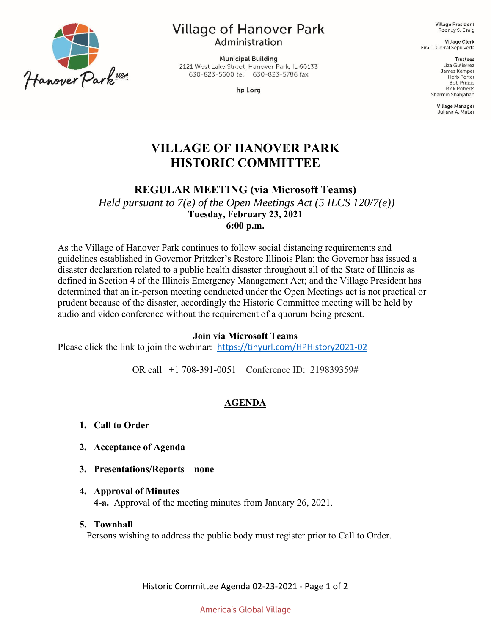

# **Village of Hanover Park**

Administration

**Municipal Building** 2121 West Lake Street, Hanover Park, IL 60133 630-823-5600 tel 630-823-5786 fax

hpil.org

**Village President** Rodney S. Craig

**Village Clerk** Eira L. Corral Sepúlveda

> **Trustees** Liza Gutierrez James Kemper **Herb Porter Bob Prigge Rick Roberts** Sharmin Shahjahan

> > Village Manager Juliana A. Maller

# **VILLAGE OF HANOVER PARK HISTORIC COMMITTEE**

**REGULAR MEETING (via Microsoft Teams)**

*Held pursuant to 7(e) of the Open Meetings Act (5 ILCS 120/7(e))* **Tuesday, February 23, 2021 6:00 p.m.** 

As the Village of Hanover Park continues to follow social distancing requirements and guidelines established in Governor Pritzker's Restore Illinois Plan: the Governor has issued a disaster declaration related to a public health disaster throughout all of the State of Illinois as defined in Section 4 of the Illinois Emergency Management Act; and the Village President has determined that an in-person meeting conducted under the Open Meetings act is not practical or prudent because of the disaster, accordingly the Historic Committee meeting will be held by audio and video conference without the requirement of a quorum being present.

#### **Join via Microsoft Teams**

Please click the link to join the webinar: <https://tinyurl.com/HPHistory2021-02>

OR call [+1 708-391-0051](tel:+1%20708-391-0051,,318318376# ) Conference ID: 219839359#

# **AGENDA**

- **1. Call to Order**
- **2. Acceptance of Agenda**
- **3. Presentations/Reports – none**
- **4. Approval of Minutes 4-a.** Approval of the meeting minutes from January 26, 2021.
- **5. Townhall** Persons wishing to address the public body must register prior to Call to Order.

Historic Committee Agenda 02-23-2021 - Page 1 of 2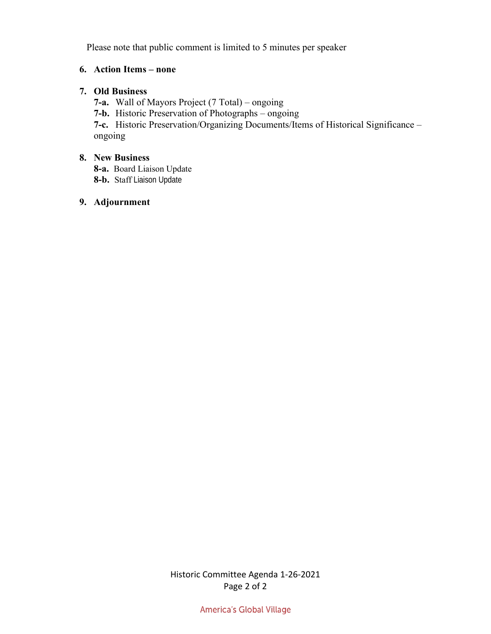Please note that public comment is limited to 5 minutes per speaker

# **6. Action Items – none**

# **7. Old Business**

**7-a.** Wall of Mayors Project (7 Total) – ongoing

**7-b.** Historic Preservation of Photographs – ongoing

**7-c.** Historic Preservation/Organizing Documents/Items of Historical Significance – ongoing

## **8. New Business**

**8-a.** Board Liaison Update

**8-b.** Staff Liaison Update

# **9. Adjournment**

Historic Committee Agenda 1-26-2021 Page 2 of 2

America's Global Village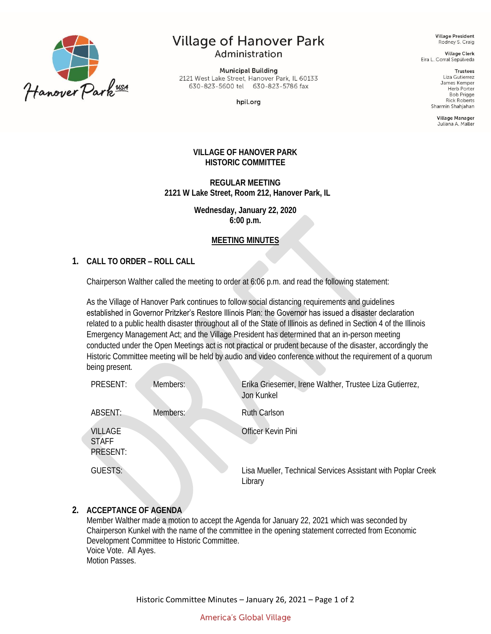

# **Village of Hanover Park** Administration

**Municipal Building** 2121 West Lake Street, Hanover Park, IL 60133 630-823-5600 tel 630-823-5786 fax

hpil.org

**Village President** Rodney S. Craig

**Village Clerk** Eira L. Corral Sepúlveda

> **Trustees** Liza Gutierrez James Kemper Herb Porter **Bob Prigge Rick Roberts** Sharmin Shahiahan

> > Village Manager Juliana A. Maller

#### **VILLAGE OF HANOVER PARK HISTORIC COMMITTEE**

**REGULAR MEETING 2121 W Lake Street, Room 212, Hanover Park, IL**

> **Wednesday, January 22, 2020 6:00 p.m.**

# **MEETING MINUTES**

#### **1. CALL TO ORDER – ROLL CALL**

Chairperson Walther called the meeting to order at 6:06 p.m. and read the following statement:

As the Village of Hanover Park continues to follow social distancing requirements and guidelines established in Governor Pritzker's Restore Illinois Plan: the Governor has issued a disaster declaration related to a public health disaster throughout all of the State of Illinois as defined in Section 4 of the Illinois Emergency Management Act; and the Village President has determined that an in-person meeting conducted under the Open Meetings act is not practical or prudent because of the disaster, accordingly the Historic Committee meeting will be held by audio and video conference without the requirement of a quorum being present.

| PRESENT:                            | Members: | Erika Griesemer, Irene Walther, Trustee Liza Gutierrez,<br>Jon Kunkel   |
|-------------------------------------|----------|-------------------------------------------------------------------------|
| ABSENT:                             | Members: | <b>Ruth Carlson</b>                                                     |
| VILLAGE<br><b>STAFF</b><br>PRESENT: |          | Officer Kevin Pini                                                      |
| <b>GUESTS:</b>                      |          | Lisa Mueller, Technical Services Assistant with Poplar Creek<br>Library |

#### **2. ACCEPTANCE OF AGENDA**

Member Walther made a motion to accept the Agenda for January 22, 2021 which was seconded by Chairperson Kunkel with the name of the committee in the opening statement corrected from Economic Development Committee to Historic Committee. Voice Vote. All Ayes. Motion Passes.

Historic Committee Minutes – January 26, 2021 – Page 1 of 2